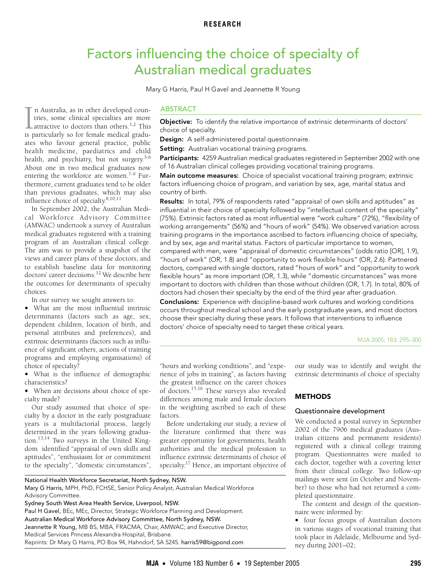# Factors influencing the choice of specialty of Australian medical graduates

Mary G Harris, Paul H Gavel and Jeannette R Young

<span id="page-0-0"></span> $\frac{1}{2}$  one in two medical graduates now entering the workforce are women.<sup>[7-](#page-5-4)[9](#page-5-5)</sup> Fur[thermore](#page-0-0), current graduates tend to be older than previous graduates, which may also influence choice of specialty.<sup>8[,10](#page-5-7),[11](#page-5-8)</sup> n Australia, as in other developed countries, some clinical specialties are more  $\blacktriangle$  attractive to doctors than others.<sup>[1,](#page-5-0)[2](#page-5-1)</sup> This In Australia, as in other developed countries, some clinical specialties are more attractive to doctors than others.<sup>1,2</sup> This is particularly so for female medical graduates who favour general practice, public health medicine, paediatrics and child health, and psychiatry, but not surgery.<sup>[3](#page-5-2)-[6](#page-5-3)</sup> About one in two medical graduates now

In September 2002, the Australian Medical Workforce Advisory Committee (AMWAC) undertook a survey of Australian medical graduates registered with a training program of an Australian clinical college. The aim was to provide a snapshot of the views and career plans of these doctors, and to establish baseline data for monitoring doctors' career decisions.<sup>[12](#page-5-9)</sup> We describe here the outcomes for determinants of specialty choices.

In our survey we sought answers to:

• What are the most influential intrinsic determinants (factors such as age, sex, dependent children, location of birth, and personal attributes and preferences), and extrinsic determinants (factors such as influence of significant others, actions of training programs and employing organisations) of choice of specialty?

• What is the influence of demographic characteristics?

• When are decisions about choice of specialty made?

Our study assumed that choice of specialty by a doctor in the early postgraduate years is a multifactorial process, largely determined in the years following graduation[.13](#page-5-10)[,14](#page-5-11) Two surveys in the United Kingdom identified "appraisal of own skills and aptitudes", "enthusiasm for or commitment to the specialty", "domestic circumstances",

#### ABSTRACT

Objective: To identify the relative importance of extrinsic determinants of doctors' choice of specialty.

Design: A self-administered postal questionnaire.

Setting: Australian vocational training programs.

Participants: 4259 Australian medical graduates registered in September 2002 with one of 16 Australian clinical colleges providing vocational training programs.

Main outcome measures: Choice of specialist vocational training program; extrinsic factors influencing choice of program, and variation by sex, age, marital status and country of birth.

Results: In total, 79% of respondents rated "appraisal of own skills and aptitudes" as influential in their choice of specialty followed by "intellectual content of the specialty" (75%). Extrinsic factors rated as most influential were "work culture" (72%), "flexibility of working arrangements" (56%) and "hours of work" (54%). We observed variation across training programs in the importance ascribed to factors influencing choice of specialty, and by sex, age and marital status. Factors of particular importance to women, compared with men, were "appraisal of domestic circumstances" (odds ratio [OR], 1.9), "hours of work" (OR, 1.8) and "opportunity to work flexible hours" (OR, 2.6). Partnered doctors, compared with single doctors, rated "hours of work" and "opportunity to work flexible hours" as more important (OR, 1.3), while "domestic circumstances" was more important to doctors with children than those without children (OR, 1.7). In total, 80% of doctors had chosen their specialty by the end of the third year after graduation.

Conclusions: Experience with discipline-based work cultures and working conditions occurs throughout medical school and the early postgraduate years, and most doctors choose their specialty during these years. It follows that interventions to influence doctors' choice of specialty need to target these critical years.

MJA 2005; 183: 295–300

"hours and working conditions", and "experience of jobs in training", as factors having the greatest influence on the career choices of doctors.[15,](#page-5-12)[16](#page-5-13) These surveys also revealed differences among male and female doctors in the weighting ascribed to each of these factors.

Before undertaking our study, a review of the literature confirmed that there was greater opportunity for governments, health authorities and the medical profession to influence extrinsic determinants of choice of specialty.[17](#page-5-14) Hence, an important objective of our study was to identify and weight the extrinsic determinants of choice of specialty.

## **METHODS**

#### Questionnaire development

We conducted a postal survey in September 2002 of the 7906 medical graduates (Australian citizens and permanent residents) registered with a clinical college training program. Questionnaires were mailed to each doctor, together with a covering letter from their clinical college. Two follow-up mailings were sent (in October and November) to those who had not returned a completed questionnaire.

The content and design of the questionnaire were informed by:

• four focus groups of Australian doctors in various stages of vocational training that took place in Adelaide, Melbourne and Sydney during 2001–02;

# National Health Workforce Secretariat, North Sydney, NSW.

Mary G Harris, MPH, PhD, FCHSE, Senior Policy Analyst, Australian Medical Workforce Advisory Committee.

Sydney South West Area Health Service, Liverpool, NSW.

Paul H Gavel, BEc, MEc, Director, Strategic Workforce Planning and Development. Australian Medical Workforce Advisory Committee, North Sydney, NSW. Jeannette R Young, MB BS, MBA, FRACMA, Chair, AMWAC; and Executive Director, Medical Services Princess Alexandra Hospital, Brisbane. Reprints: Dr Mary G Harris, PO Box 94, Hahndorf, SA 5245. harris59@bigpond.com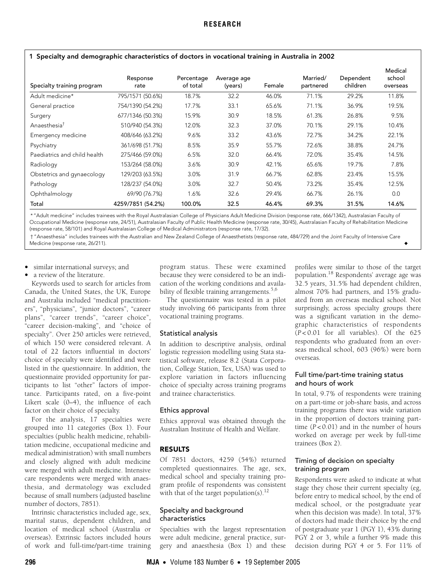<span id="page-1-0"></span>1 Specialty and demographic characteristics of doctors in vocational training in Australia in 2002

| Specialty training program   | Response<br>rate  | Percentage<br>of total | Average age<br>(years) | Female | Married/<br>partnered | Dependent<br>children | Medical<br>school<br>overseas |
|------------------------------|-------------------|------------------------|------------------------|--------|-----------------------|-----------------------|-------------------------------|
| Adult medicine*              | 795/1571 (50.6%)  | 18.7%                  | 32.2                   | 46.0%  | 71.1%                 | 29.2%                 | 11.8%                         |
| General practice             | 754/1390 (54.2%)  | 17.7%                  | 33.1                   | 65.6%  | 71.1%                 | 36.9%                 | 19.5%                         |
| Surgery                      | 677/1346 (50.3%)  | 15.9%                  | 30.9                   | 18.5%  | 61.3%                 | 26.8%                 | 9.5%                          |
| Anaesthesia <sup>†</sup>     | 510/940 (54.3%)   | 12.0%                  | 32.3                   | 37.0%  | 70.1%                 | 29.1%                 | 10.4%                         |
| Emergency medicine           | 408/646 (63.2%)   | 9.6%                   | 33.2                   | 43.6%  | 72.7%                 | 34.2%                 | 22.1%                         |
| Psychiatry                   | 361/698 (51.7%)   | 8.5%                   | 35.9                   | 55.7%  | 72.6%                 | 38.8%                 | 24.7%                         |
| Paediatrics and child health | 275/466 (59.0%)   | 6.5%                   | 32.0                   | 66.4%  | 72.0%                 | 35.4%                 | 14.5%                         |
| Radiology                    | 153/264 (58.0%)   | 3.6%                   | 30.9                   | 42.1%  | 65.6%                 | 19.7%                 | 7.8%                          |
| Obstetrics and gynaecology   | 129/203 (63.5%)   | 3.0%                   | 31.9                   | 66.7%  | 62.8%                 | 23.4%                 | 15.5%                         |
| Pathology                    | 128/237 (54.0%)   | 3.0%                   | 32.7                   | 50.4%  | 73.2%                 | 35.4%                 | 12.5%                         |
| Ophthalmology                | 69/90 (76.7%)     | 1.6%                   | 32.6                   | 29.4%  | 66.7%                 | 26.1%                 | 0.0                           |
| Total                        | 4259/7851 (54.2%) | 100.0%                 | 32.5                   | 46.4%  | 69.3%                 | 31.5%                 | 14.6%                         |

\* "Adult medicine" includes trainees with the Royal Australasian College of Physicians Adult Medicine Division (response rate, 666/1342), Australasian Faculty of Occupational Medicine (response rate, 24/51), Australasian Faculty of Public Health Medicine (response rate, 30/45), Australasian Faculty of Rehabilitation Medicine (response rate, 58/101) and Royal Australasian College of Medical Administrators (response rate, 17/32).

† "Anaesthesia" includes trainees with the Australian and New Zealand College of Anaesthetists (response rate, 484/729) and the Joint Faculty of Intensive Care Medicine (response rate, 26/211). ◆

- similar international surveys; and
- a review of the literature.

Keywords used to search for articles from Canada, the United States, the UK, Europe and Australia included "medical practitioners", "physicians", "junior doctors", "career plans", "career trends", "career choice", "career decision-making", and "choice of specialty". Over 250 articles were retrieved, of which 150 were considered relevant. A total of 22 factors influential in doctors' choice of specialty were identified and were listed in the questionnaire. In addition, the questionnaire provided opportunity for participants to list "other" factors of importance. Participants rated, on a five-point Likert scale (0–4), the influence of each factor on their choice of specialty.

For the analysis, 17 specialties were grouped into 11 categories ([Box 1](#page-1-0)). Four specialties (public health medicine, rehabilitation medicine, occupational medicine and medical administration) with small numbers and closely aligned with adult medicine were merged with adult medicine. Intensive care respondents were merged with anaesthesia, and dermatology was excluded because of small numbers (adjusted baseline number of doctors, 7851).

Intrinsic characteristics included age, sex, marital status, dependent children, and location of medical school (Australia or overseas). Extrinsic factors included hours of work and full-time/part-time training

program status. These were examined because they were considered to be an indication of the working conditions and availa-bility of flexible training arrangements.<sup>[5](#page-5-16),[6](#page-5-3)</sup>

The questionnaire was tested in a pilot study involving 66 participants from three vocational training programs.

### Statistical analysis

In addition to descriptive analysis, ordinal logistic regression modelling using Stata statistical software, release 8.2 (Stata Corporation, College Station, Tex, USA) was used to explore variation in factors influencing choice of specialty across training programs and trainee characteristics.

#### Ethics approval

Ethics approval was obtained through the Australian Institute of Health and Welfare.

### RESULTS

Of 7851 doctors, 4259 (54%) returned completed questionnaires. The age, sex, medical school and specialty training program profile of respondents was consistent with that of the target population(s).<sup>[12](#page-5-9)</sup>

### Specialty and background characteristics

Specialties with the largest representation were adult medicine, general practice, surgery and anaesthesia ([Box 1](#page-1-0)) and these profiles were similar to those of the target population[.18](#page-5-17) Respondents' average age was 32.5 years, 31.5% had dependent children, almost 70% had partners, and 15% graduated from an overseas medical school. Not surprisingly, across specialty groups there was a significant variation in the demographic characteristics of respondents (*P* < 0.01 for all variables). Of the 625 respondents who graduated from an overseas medical school, 603 (96%) were born overseas.

# Full time/part-time training status and hours of work

In total, 9.7% of respondents were training on a part-time or job-share basis, and across training programs there was wide variation in the proportion of doctors training parttime (*P* < 0.01) and in the number of hours worked on average per week by full-time trainees ([Box 2\)](#page-2-0).

# Timing of decision on specialty training program

Respondents were asked to indicate at what stage they chose their current specialty (eg, before entry to medical school, by the end of medical school, or the postgraduate year when this decision was made). In total, 37% of doctors had made their choice by the end of postgraduate year 1 (PGY 1), 43% during PGY 2 or 3, while a further 9% made this decision during PGY 4 or 5. For 11% of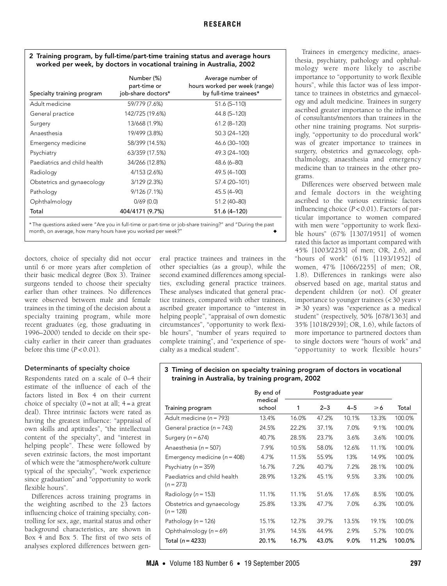# <span id="page-2-0"></span>2 Training program, by full-time/part-time training status and average hours worked per week, by doctors in vocational training in Australia, 2002

| Specialty training program   | Number (%)<br>part-time or<br>job-share doctors* | Average number of<br>hours worked per week (range)<br>by full-time trainees* |
|------------------------------|--------------------------------------------------|------------------------------------------------------------------------------|
| Adult medicine               | 59/779 (7.6%)                                    | $51.6(5 - 110)$                                                              |
| General practice             | 142/725 (19.6%)                                  | 44.8 (5-120)                                                                 |
| Surgery                      | 13/668 (1.9%)                                    | $61.2(8-120)$                                                                |
| Anaesthesia                  | 19/499 (3.8%)                                    | 50.3 (24-120)                                                                |
| Emergency medicine           | 58/399 (14.5%)                                   | 46.6 (30-100)                                                                |
| Psychiatry                   | 63/359 (17.5%)                                   | 49.3 (24-100)                                                                |
| Paediatrics and child health | 34/266 (12.8%)                                   | $48.6(6 - 80)$                                                               |
| Radiology                    | 4/153 (2.6%)                                     | 49.5 (4-100)                                                                 |
| Obstetrics and gynaecology   | 3/129(2.3%)                                      | 57.4 (20-101)                                                                |
| Pathology                    | 9/126(7.1%)                                      | 45.5 (4-90)                                                                  |
| Ophthalmology                | 0/69(0.0)                                        | 51.2 (40-80)                                                                 |
| Total                        | 404/4171 (9.7%)                                  | 51.6 (4-120)                                                                 |

\* The questions asked were "Are you in full-time or part-time or job-share training?" and "During the past month, on average, how many hours have you worked per week?"

doctors, choice of specialty did not occur until 6 or more years after completion of their basic medical degree [\(Box 3](#page-2-1)). Trainee surgeons tended to choose their specialty earlier than other trainees. No differences were observed between male and female trainees in the timing of the decision about a specialty training program, while more recent graduates (eg, those graduating in 1996–2000) tended to decide on their specialty earlier in their career than graduates before this time  $(P < 0.01)$ .

# Determinants of specialty choice

Respondents rated on a scale of 0–4 their estimate of the influence of each of the factors listed in [Box 4](#page-3-0) on their current choice of specialty  $(0 = not at all; 4 = a great)$ deal). Three intrinsic factors were rated as having the greatest influence: "appraisal of own skills and aptitudes", "the intellectual content of the specialty", and "interest in helping people". These were followed by seven extrinsic factors, the most important of which were the "atmosphere/work culture typical of the specialty", "work experience since graduation" and "opportunity to work flexible hours".

Differences across training programs in the weighting ascribed to the 23 factors influencing choice of training specialty, controlling for sex, age, marital status and other background characteristics, are shown in [Box 4](#page-3-0) and [Box 5.](#page-4-0) The first of two sets of analyses explored differences between general practice trainees and trainees in the other specialties (as a group), while the second examined differences among specialties, excluding general practice trainees. These analyses indicated that general practice trainees, compared with other trainees, ascribed greater importance to "interest in helping people", "appraisal of own domestic circumstances", "opportunity to work flexible hours", "number of years required to complete training", and "experience of specialty as a medical student".

Trainees in emergency medicine, anaesthesia, psychiatry, pathology and ophthalmology were more likely to ascribe importance to "opportunity to work flexible hours", while this factor was of less importance to trainees in obstetrics and gynaecology and adult medicine. Trainees in surgery ascribed greater importance to the influence of consultants/mentors than trainees in the other nine training programs. Not surprisingly, "opportunity to do procedural work" was of greater importance to trainees in surgery, obstetrics and gynaecology, ophthalmology, anaesthesia and emergency medicine than to trainees in the other programs.

Differences were observed between male and female doctors in the weighting ascribed to the various extrinsic factors influencing choice (*P* < 0.01). Factors of particular importance to women compared with men were "opportunity to work flexible hours" (67% [1307/1951] of women rated this factor as important compared with 45% [1003/2253] of men; OR, 2.6), and "hours of work" (61% [1193/1952] of women, 47% [1066/2255] of men; OR, 1.8). Differences in rankings were also observed based on age, marital status and dependent children (or not). Of greater importance to younger trainees (< 30 years v ≥ 30 years) was "experience as a medical student" (respectively, 50% [678/1363] and 35% [1018/2939]; OR, 1.6), while factors of more importance to partnered doctors than to single doctors were "hours of work" and "opportunity to work flexible hours"

# <span id="page-2-1"></span>3 Timing of decision on specialty training program of doctors in vocational training in Australia, by training program, 2002

|                                             | By end of         |       |         | Postgraduate year |               |        |
|---------------------------------------------|-------------------|-------|---------|-------------------|---------------|--------|
| Training program                            | medical<br>school | 1     | $2 - 3$ | $4 - 5$           | $\geqslant 6$ | Total  |
| Adult medicine ( $n = 793$ )                | 13.4%             | 16.0% | 47.2%   | 10.1%             | 13.3%         | 100.0% |
| General practice ( $n = 743$ )              | 24.5%             | 22.2% | 37.1%   | 7.0%              | 9.1%          | 100.0% |
| Surgery ( $n = 674$ )                       | 40.7%             | 28.5% | 23.7%   | 3.6%              | 3.6%          | 100.0% |
| Anaesthesia ( $n = 507$ )                   | 7.9%              | 10.5% | 58.0%   | 12.6%             | 11.1%         | 100.0% |
| Emergency medicine ( $n = 408$ )            | 4.7%              | 11.5% | 55.9%   | 13%               | 14.9%         | 100.0% |
| Psychiatry ( $n = 359$ )                    | 16.7%             | 7.2%  | 40.7%   | 7.2%              | 28.1%         | 100.0% |
| Paediatrics and child health<br>$(n = 273)$ | 28.9%             | 13.2% | 45.1%   | 9.5%              | 3.3%          | 100.0% |
| Radiology ( $n = 153$ )                     | 11.1%             | 11.1% | 51.6%   | 17.6%             | 8.5%          | 100.0% |
| Obstetrics and gynaecology<br>$(n = 128)$   | 25.8%             | 13.3% | 47.7%   | 7.0%              | 6.3%          | 100.0% |
| Pathology ( $n = 126$ )                     | 15.1%             | 12.7% | 39.7%   | 13.5%             | 19.1%         | 100.0% |
| Ophthalmology ( $n = 69$ )                  | 31.9%             | 14.5% | 44.9%   | 2.9%              | 5.7%          | 100.0% |
| Total $(n = 4233)$                          | 20.1%             | 16.7% | 43.0%   | 9.0%              | 11.2%         | 100.0% |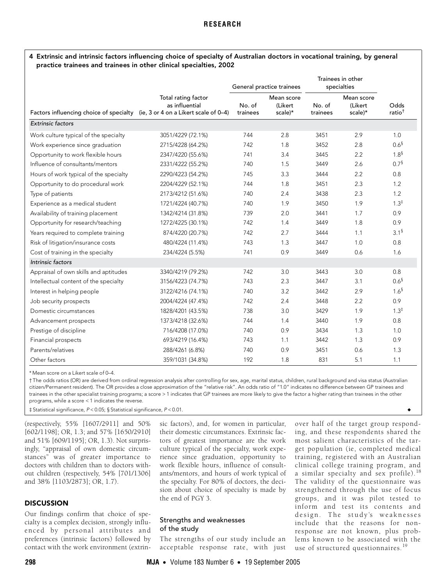# **RESEARCH**

#### <span id="page-3-0"></span>4 Extrinsic and intrinsic factors influencing choice of specialty of Australian doctors in vocational training, by general practice trainees and trainees in other clinical specialties, 2002

|                                                                               |                                       |                    | General practice trainees        |                    | Trainees in other<br>specialties |                           |
|-------------------------------------------------------------------------------|---------------------------------------|--------------------|----------------------------------|--------------------|----------------------------------|---------------------------|
| Factors influencing choice of specialty (ie, 3 or 4 on a Likert scale of 0-4) | Total rating factor<br>as influential | No. of<br>trainees | Mean score<br>(Likert<br>scale)* | No. of<br>trainees | Mean score<br>(Likert<br>scale)* | Odds<br>$ratio^{\dagger}$ |
| <b>Extrinsic factors</b>                                                      |                                       |                    |                                  |                    |                                  |                           |
| Work culture typical of the specialty                                         | 3051/4229 (72.1%)                     | 744                | 2.8                              | 3451               | 2.9                              | 1.0                       |
| Work experience since graduation                                              | 2715/4228 (64.2%)                     | 742                | 1.8                              | 3452               | 2.8                              | $0.6^{\$}$                |
| Opportunity to work flexible hours                                            | 2347/4220 (55.6%)                     | 741                | 3.4                              | 3445               | 2.2                              | $1.8^{5}$                 |
| Influence of consultants/mentors                                              | 2331/4222 (55.2%)                     | 740                | 1.5                              | 3449               | 2.6                              | $0.7^{\frac{5}{3}}$       |
| Hours of work typical of the specialty                                        | 2290/4223 (54.2%)                     | 745                | 3.3                              | 3444               | 2.2                              | 0.8                       |
| Opportunity to do procedural work                                             | 2204/4229 (52.1%)                     | 744                | 1.8                              | 3451               | 2.3                              | 1.2                       |
| Type of patients                                                              | 2173/4212 (51.6%)                     | 740                | 2.4                              | 3438               | 2.3                              | 1.2                       |
| Experience as a medical student                                               | 1721/4224 (40.7%)                     | 740                | 1.9                              | 3450               | 1.9                              | $1.3^{\ddagger}$          |
| Availability of training placement                                            | 1342/4214 (31.8%)                     | 739                | 2.0                              | 3441               | 1.7                              | 0.9                       |
| Opportunity for research/teaching                                             | 1272/4225 (30.1%)                     | 742                | 1.4                              | 3449               | 1.8                              | 0.9                       |
| Years required to complete training                                           | 874/4220 (20.7%)                      | 742                | 2.7                              | 3444               | 1.1                              | $3.1^{\frac{5}{2}}$       |
| Risk of litigation/insurance costs                                            | 480/4224 (11.4%)                      | 743                | 1.3                              | 3447               | 1.0                              | 0.8                       |
| Cost of training in the specialty                                             | 234/4224 (5.5%)                       | 741                | 0.9                              | 3449               | 0.6                              | 1.6                       |
| Intrinsic factors                                                             |                                       |                    |                                  |                    |                                  |                           |
| Appraisal of own skills and aptitudes                                         | 3340/4219 (79.2%)                     | 742                | 3.0                              | 3443               | 3.0                              | 0.8                       |
| Intellectual content of the specialty                                         | 3156/4223 (74.7%)                     | 743                | 2.3                              | 3447               | 3.1                              | $0.6^{\$}$                |
| Interest in helping people                                                    | 3122/4216 (74.1%)                     | 740                | 3.2                              | 3442               | 2.9                              | $1.6^{S}$                 |
| Job security prospects                                                        | 2004/4224 (47.4%)                     | 742                | 2.4                              | 3448               | 2.2                              | 0.9                       |
| Domestic circumstances                                                        | 1828/4201 (43.5%)                     | 738                | 3.0                              | 3429               | 1.9                              | $1.3^{\ddagger}$          |
| Advancement prospects                                                         | 1373/4218 (32.6%)                     | 744                | 1.4                              | 3440               | 1.9                              | 0.8                       |
| Prestige of discipline                                                        | 716/4208 (17.0%)                      | 740                | 0.9                              | 3434               | 1.3                              | 1.0                       |
| Financial prospects                                                           | 693/4219 (16.4%)                      | 743                | 1.1                              | 3442               | 1.3                              | 0.9                       |
| Parents/relatives                                                             | 288/4261 (6.8%)                       | 740                | 0.9                              | 3451               | 0.6                              | 1.3                       |
| Other factors                                                                 | 359/1031 (34.8%)                      | 192                | 1.8                              | 831                | 5.1                              | 1.1                       |

\* Mean score on a Likert scale of 0–4.

† The odds ratios (OR) are derived from ordinal regression analysis after controlling for sex, age, marital status, children, rural background and visa status (Australian citizen/Permanent resident). The OR provides a close approximation of the "relative risk". An odds ratio of "1.0" indicates no difference between GP trainees and trainees in the other specialist training programs; a score > 1 indicates that GP trainees are more likely to give the factor a higher rating than trainees in the other programs, while a score < 1 indicates the reverse.

‡ Statistical significance, P < 0.05; § Statistical significance, P < 0.01. ◆

(respectively, 55% [1607/2911] and 50% [602/1198]; OR, 1.3; and 57% [1650/2910] and 51% [609/1195]; OR, 1.3). Not surprisingly, "appraisal of own domestic circumstances" was of greater importance to doctors with children than to doctors without children (respectively, 54% [701/1306] and 38% [1103/2873]; OR, 1.7).

#### **DISCUSSION**

Our findings confirm that choice of specialty is a complex decision, strongly influenced by personal attributes and preferences (intrinsic factors) followed by contact with the work environment (extrinsic factors), and, for women in particular, their domestic circumstances. Extrinsic factors of greatest importance are the work culture typical of the specialty, work experience since graduation, opportunity to work flexible hours, influence of consultants/mentors, and hours of work typical of the specialty. For 80% of doctors, the decision about choice of specialty is made by the end of PGY 3.

# Strengths and weaknesses of the study

The strengths of our study include an acceptable response rate, with just over half of the target group responding, and these respondents shared the most salient characteristics of the target population (ie, completed medical training, registered with an Australian clinical college training program, and a similar specialty and sex profile).[18](#page-5-17) The validity of the questionnaire was strengthened through the use of focus groups, and it was pilot tested to inform and test its contents and design. The study's weaknesses include that the reasons for nonresponse are not known, plus problems known to be associated with the use of structured questionnaires.<sup>[19](#page-5-15)</sup>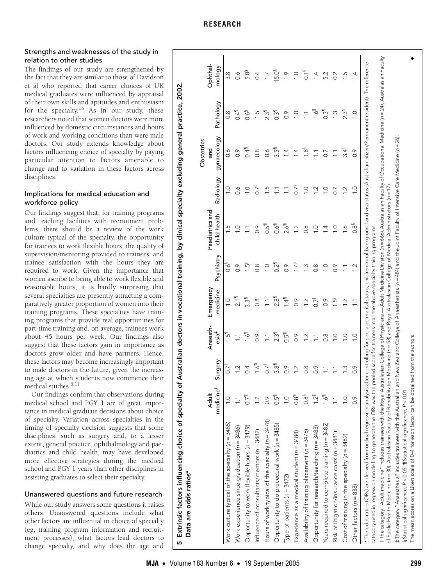| <b>Adult</b>                                                        |               |                         | Anaesth-                | Emergency        |                     | Paediatrics and  |                         | Obstetrics<br>pue<br>S |                     | Ophthal-           |
|---------------------------------------------------------------------|---------------|-------------------------|-------------------------|------------------|---------------------|------------------|-------------------------|------------------------|---------------------|--------------------|
| medicine <sup>t</sup>                                               |               | Surgery                 | esia <sup>‡</sup>       | medicine         | Psychiatry          | child health     | Radiology               | gynaecology            | Pathology           | mology             |
| $\frac{0}{1}$<br>Work culture typical of the specialty (n = 3485)   |               | 0.78                    | $\overline{5}$          | $\frac{0}{1}$    | 0.6 <sup>3</sup>    | <u>ي</u>         | $\overline{0}$          | $\sim 0$               | $\frac{8}{2}$       | 3.8                |
| Work experience since graduation (n = 3486)                         |               | 1.2                     | Ē,                      | $\frac{1}{21}$   | $\frac{6}{10}$      | $\frac{0}{1}$    | $\sim$                  | $\frac{6}{2}$          | 0.4                 | $\sim$             |
| $0.7$ <sup>1</sup><br>Opportunity to work flexible hours (n = 3479) |               | 0.4                     | 1.6                     | $3.3^{\circ}$    | $\ddot{5}$          |                  | $\frac{0}{1}$           | 0.4                    | $0.6^{\frac{5}{3}}$ | 5.8 <sup>6</sup>   |
| $\overline{12}$<br>Influence of consultants/mentors ( $n = 3482$ )  |               | $1.6^{1}$               | $\frac{6}{2}$           | $\frac{8}{2}$    | $\frac{8}{2}$       | $\frac{6}{2}$    | 0.7 <sup>§</sup>        | $0.\overline{8}$       | $\overline{5}$      | 0.4                |
| 0.9<br>Hours of work typical of the specialty (n = 3478)            |               | 0.7 <sup>5</sup>        | Ξ                       | $\sum$           | $\overline{0}$ .    | $0.5^{\degree}$  | $\frac{5}{1}$           | $\sim 0$               | $2.\overline{3}$    | $\overline{1}$     |
| $0.5^{\circ}$<br>Opportunity to do procedural work (n = 3485)       |               | $3.8^{\circ}$           | $2.3^{\circ}$           | $2.8^{\degree}$  | $0.2^{\frac{1}{1}}$ | $\frac{6}{10}$   | Ξ                       | $3.5^{\circ}$          | $0.3^{\circ}$       | $15.0^8$           |
| $\supseteq$<br>Type of patients (n = 3472)                          |               | 0.9                     | $0.5^{\frac{1}{1}}$     | 1.41             | 0.9                 | 2.6              | Ξ                       | 1.4                    | $\frac{6}{2}$       | $\tilde{=}$        |
| $0.8^{\degree}$<br>Experience as a medical student (n = 3484)       |               | $\overline{\mathbf{C}}$ | 0.9                     | $\frac{6}{2}$    | $1.4^{\frac{5}{3}}$ | Ņ                | 0.7 <sup>8</sup>        | $\overline{4}$         | $\frac{1}{2}$       | $\supseteq$        |
| 0.8 <sup>8</sup><br>Availability of training placement (n = 3475)   |               | $0.\overline{8}$        | $\overline{C}$          | $\overline{2}$   | $\tilde{=}$         | $\frac{8}{2}$    | 0.1                     | 1.8 <sup>8</sup>       | Ξ                   | $0.1$ <sup>§</sup> |
| Opportunity for research/teaching (n = 3483)                        | $12^{8}$      | $0.\overline{9}$        | $\overline{\mathbb{Z}}$ | 0.7 <sup>5</sup> | $0.\overline{8}$    | $\supseteq$      | $\overline{\mathbf{C}}$ | $\sum$                 | $1.6^{8}$           | $\overline{4}$     |
| Years required to complete training (n = 3482)                      | $\frac{1}{2}$ | $\overline{\mathbb{Z}}$ | $\frac{8}{2}$           | $\frac{6}{2}$    | $\frac{0}{1}$       | 4.               | $\supseteq$             | 0.7                    | $0.3$ <sup>11</sup> | 5.2                |
| Risk of litigation/insurance costs (n = 3481)                       |               | Ē                       | $\overline{C}$          | ني               | $\frac{6}{2}$       | $\overline{C}$   | 0.7                     | $\overline{11}$        | $\tilde{=}$         | 0.2                |
| $\overline{C}$<br>Cost of training in the specialty ( $n = 3482$ )  |               | $\tilde{\cdot}$         | $\supseteq$             | $\overline{2}$   | $\overline{11}$     | $\overline{6}$   | $\frac{2}{3}$           | $3.4^{\frac{5}{3}}$    | $2.3^{\circ}$       | r.                 |
| $\frac{6}{2}$<br>Other factors $(n = 838)$                          |               | $\frac{6}{2}$           | 0.1                     | $\overline{1}$   | $\frac{2}{3}$       | 0.8 <sup>8</sup> | 0.1                     | $\frac{6}{2}$          | $\overline{0}$      | 4                  |

### **RESEARCH**

# Strengths and weaknesses of the study in relation to other studies

The findings of our study are strengthened by the fact that they are similar to those of Davidson et al who reported that career choices of UK medical graduates were influenced by appraisal of their own skills and aptitudes and enthusiasm for the specialty.<sup>[16](#page-5-13)</sup> As in our study, these researchers noted that women doctors were more influenced by domestic circumstances and hours of work and working conditions than were male doctors. Our study extends knowledge about factors influencing choice of specialty by paying particular attention to factors amenable to change and to variation in these factors across disciplines.

# Implications for medical education and workforce policy

Our findings suggest that, for training programs and teaching facilities with recruitment problems, there should be a review of the work culture typical of the specialty, the opportunity for trainees to work flexible hours, the quality of supervision/mentoring provided to trainees, and trainee satisfaction with the hours they are required to work. Given the importance that women ascribe to being able to work flexible and reasonable hours, it is hardly surprising that several specialties are presently attracting a comparatively greater proportion of women into their training programs. These specialties have training programs that provide real opportunities for part-time training and, on average, trainees work about 45 hours per week. Our findings also suggest that these factors gain in importance as doctors grow older and have partners. Hence, these factors may become increasingly important to male doctors in the future, given the increasing age at which students now commence their medical studies.<sup>[8](#page-5-6)[,11](#page-5-8)</sup>

Our findings confirm that observations during medical school and PGY 1 are of great importance in medical graduate decisions about choice of specialty. Variation across specialties in the timing of specialty decision suggests that some disciplines, such as surgery and, to a lesser extent, general practice, ophthalmology and paediatrics and child health, may have developed more effective strategies during the medical school and PGY 1 years than other disciplines in assisting graduates to select their specialty.

# Unanswered questions and future research

<span id="page-4-0"></span>While our study answers some questions it raises others. Unanswered questions include what other factors are influential in choice of specialty (eg, training program information and recruitment processes), what factors lead doctors to change specialty, and why does the age and